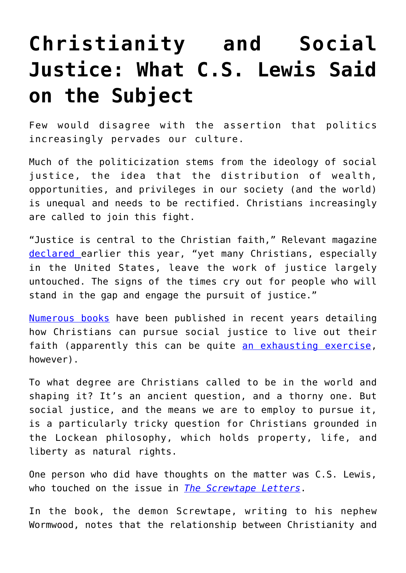## **[Christianity and Social](https://intellectualtakeout.org/2017/08/christianity-and-social-justice-what-c-s-lewis-said-on-the-subject/) [Justice: What C.S. Lewis Said](https://intellectualtakeout.org/2017/08/christianity-and-social-justice-what-c-s-lewis-said-on-the-subject/) [on the Subject](https://intellectualtakeout.org/2017/08/christianity-and-social-justice-what-c-s-lewis-said-on-the-subject/)**

Few would disagree with the assertion that politics increasingly pervades our culture.

Much of the politicization stems from the ideology of social justice, the idea that the distribution of wealth, opportunities, and privileges in our society (and the world) is unequal and needs to be rectified. Christians increasingly are called to join this fight.

"Justice is central to the Christian faith," Relevant magazine [declared](https://relevantmagazine.com/reject-apathy/what-they-dont-tell-you-about-pursuing-social-justice) earlier this year, "yet many Christians, especially in the United States, leave the work of justice largely untouched. The signs of the times cry out for people who will stand in the gap and engage the pursuit of justice."

[Numerous books](https://relevantmagazine.com/culture/books/9-social-justice-books-read-fall) have been published in recent years detailing how Christians can pursue social justice to live out their faith (apparently this can be quite [an exhausting exercise,](https://relevantmagazine.com/feature/who-cares/) however).

To what degree are Christians called to be in the world and shaping it? It's an ancient question, and a thorny one. But social justice, and the means we are to employ to pursue it, is a particularly tricky question for Christians grounded in the Lockean philosophy, which holds property, life, and liberty as natural rights.

One person who did have thoughts on the matter was C.S. Lewis, who touched on the issue in *[The Screwtape Letters](http://amzn.to/2vZp8im)*.

In the book, the demon Screwtape, writing to his nephew Wormwood, notes that the relationship between Christianity and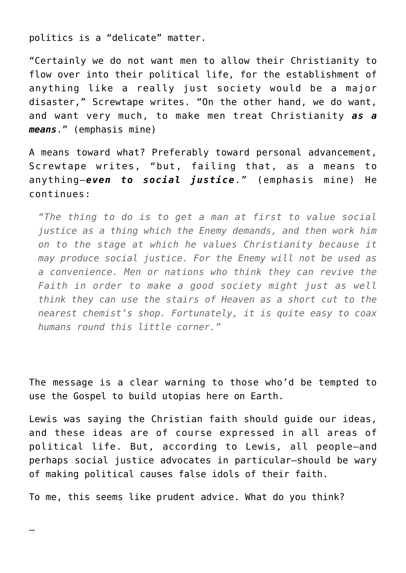politics is a "delicate" matter.

"Certainly we do not want men to allow their Christianity to flow over into their political life, for the establishment of anything like a really just society would be a major disaster," Screwtape writes. "On the other hand, we do want, and want very much, to make men treat Christianity *as a means*." (emphasis mine)

A means toward what? Preferably toward personal advancement, Screwtape writes, "but, failing that, as a means to anything—*even to social justice*." (emphasis mine) He continues:

*"The thing to do is to get a man at first to value social justice as a thing which the Enemy demands, and then work him on to the stage at which he values Christianity because it may produce social justice. For the Enemy will not be used as a convenience. Men or nations who think they can revive the Faith in order to make a good society might just as well think they can use the stairs of Heaven as a short cut to the nearest chemist's shop. Fortunately, it is quite easy to coax humans round this little corner."*

The message is a clear warning to those who'd be tempted to use the Gospel to build utopias here on Earth.

Lewis was saying the Christian faith should guide our ideas, and these ideas are of course expressed in all areas of political life. But, according to Lewis, all people—and perhaps social justice advocates in particular—should be wary of making political causes false idols of their faith.

To me, this seems like prudent advice. What do you think?

—